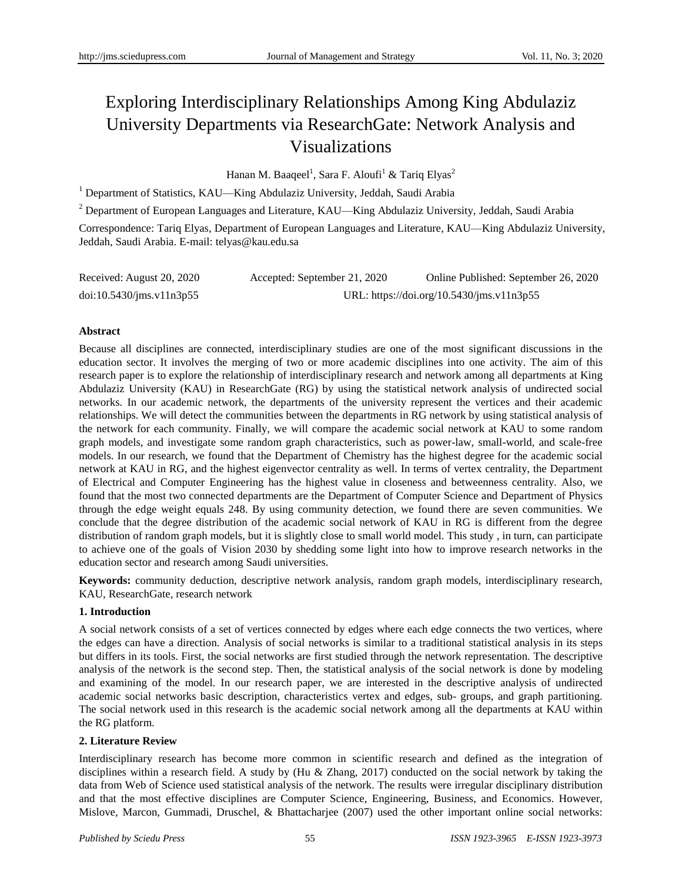# Exploring Interdisciplinary Relationships Among King Abdulaziz University Departments via ResearchGate: Network Analysis and Visualizations

Hanan M. Baaqeel<sup>1</sup>, Sara F. Aloufi<sup>1</sup> & Tariq Elyas<sup>2</sup>

<sup>1</sup> Department of Statistics, KAU—King Abdulaziz University, Jeddah, Saudi Arabia

<sup>2</sup> Department of European Languages and Literature, KAU—King Abdulaziz University, Jeddah, Saudi Arabia

Correspondence: Tariq Elyas, Department of European Languages and Literature, KAU—King Abdulaziz University, Jeddah, Saudi Arabia. E-mail: telyas@kau.edu.sa

| Received: August 20, 2020 | Accepted: September 21, 2020 | Online Published: September 26, 2020      |
|---------------------------|------------------------------|-------------------------------------------|
| doi:10.5430/jms.v11n3p55  |                              | URL: https://doi.org/10.5430/jms.v11n3p55 |

## **Abstract**

Because all disciplines are connected, interdisciplinary studies are one of the most significant discussions in the education sector. It involves the merging of two or more academic disciplines into one activity. The aim of this research paper is to explore the relationship of interdisciplinary research and network among all departments at King Abdulaziz University (KAU) in ResearchGate (RG) by using the statistical network analysis of undirected social networks. In our academic network, the departments of the university represent the vertices and their academic relationships. We will detect the communities between the departments in RG network by using statistical analysis of the network for each community. Finally, we will compare the academic social network at KAU to some random graph models, and investigate some random graph characteristics, such as power-law, small-world, and scale-free models. In our research, we found that the Department of Chemistry has the highest degree for the academic social network at KAU in RG, and the highest eigenvector centrality as well. In terms of vertex centrality, the Department of Electrical and Computer Engineering has the highest value in closeness and betweenness centrality. Also, we found that the most two connected departments are the Department of Computer Science and Department of Physics through the edge weight equals 248. By using community detection, we found there are seven communities. We conclude that the degree distribution of the academic social network of KAU in RG is different from the degree distribution of random graph models, but it is slightly close to small world model. This study , in turn, can participate to achieve one of the goals of Vision 2030 by shedding some light into how to improve research networks in the education sector and research among Saudi universities.

**Keywords:** community deduction, descriptive network analysis, random graph models, interdisciplinary research, KAU, ResearchGate, research network

## **1. Introduction**

A social network consists of a set of vertices connected by edges where each edge connects the two vertices, where the edges can have a direction. Analysis of social networks is similar to a traditional statistical analysis in its steps but differs in its tools. First, the social networks are first studied through the network representation. The descriptive analysis of the network is the second step. Then, the statistical analysis of the social network is done by modeling and examining of the model. In our research paper, we are interested in the descriptive analysis of undirected academic social networks basic description, characteristics vertex and edges, sub- groups, and graph partitioning. The social network used in this research is the academic social network among all the departments at KAU within the RG platform.

## **2. Literature Review**

Interdisciplinary research has become more common in scientific research and defined as the integration of disciplines within a research field. A study by (Hu & Zhang, 2017) conducted on the social network by taking the data from Web of Science used statistical analysis of the network. The results were irregular disciplinary distribution and that the most effective disciplines are Computer Science, Engineering, Business, and Economics. However, Mislove, Marcon, Gummadi, Druschel, & Bhattacharjee (2007) used the other important online social networks: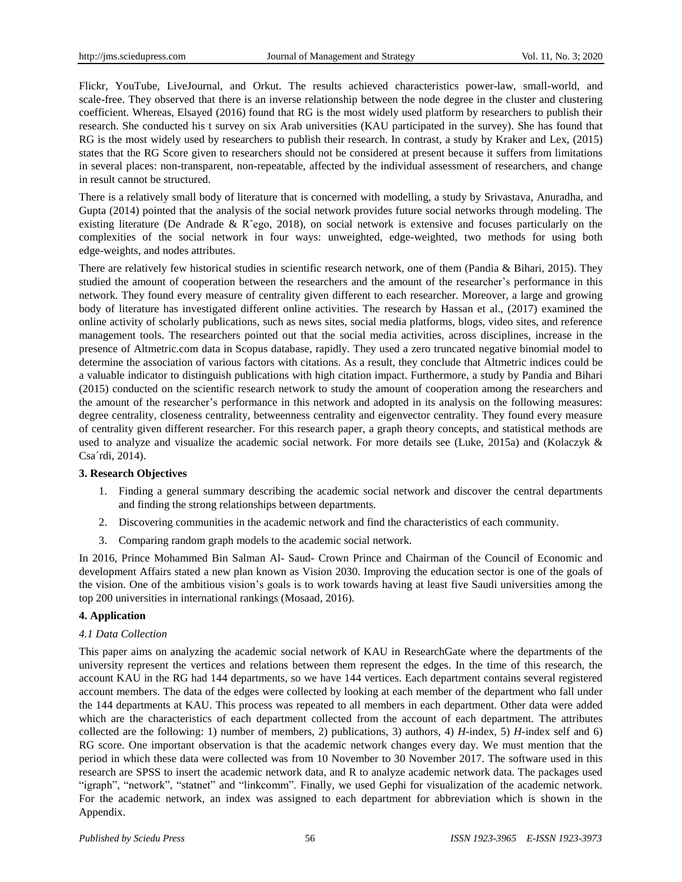Flickr, YouTube, LiveJournal, and Orkut. The results achieved characteristics power-law, small-world, and scale-free. They observed that there is an inverse relationship between the node degree in the cluster and clustering coefficient. Whereas, Elsayed (2016) found that RG is the most widely used platform by researchers to publish their research. She conducted his t survey on six Arab universities (KAU participated in the survey). She has found that RG is the most widely used by researchers to publish their research. In contrast, a study by Kraker and Lex, (2015) states that the RG Score given to researchers should not be considered at present because it suffers from limitations in several places: non-transparent, non-repeatable, affected by the individual assessment of researchers, and change in result cannot be structured.

There is a relatively small body of literature that is concerned with modelling, a study by Srivastava, Anuradha, and Gupta (2014) pointed that the analysis of the social network provides future social networks through modeling. The existing literature (De Andrade & Rˆego, 2018), on social network is extensive and focuses particularly on the complexities of the social network in four ways: unweighted, edge-weighted, two methods for using both edge-weights, and nodes attributes.

There are relatively few historical studies in scientific research network, one of them (Pandia & Bihari, 2015). They studied the amount of cooperation between the researchers and the amount of the researcher's performance in this network. They found every measure of centrality given different to each researcher. Moreover, a large and growing body of literature has investigated different online activities. The research by Hassan et al., (2017) examined the online activity of scholarly publications, such as news sites, social media platforms, blogs, video sites, and reference management tools. The researchers pointed out that the social media activities, across disciplines, increase in the presence of Altmetric.com data in Scopus database, rapidly. They used a zero truncated negative binomial model to determine the association of various factors with citations. As a result, they conclude that Altmetric indices could be a valuable indicator to distinguish publications with high citation impact. Furthermore, a study by Pandia and Bihari (2015) conducted on the scientific research network to study the amount of cooperation among the researchers and the amount of the researcher's performance in this network and adopted in its analysis on the following measures: degree centrality, closeness centrality, betweenness centrality and eigenvector centrality. They found every measure of centrality given different researcher. For this research paper, a graph theory concepts, and statistical methods are used to analyze and visualize the academic social network. For more details see (Luke, 2015a) and (Kolaczyk & Csa *fdi*, 2014).

#### **3. Research Objectives**

- 1. Finding a general summary describing the academic social network and discover the central departments and finding the strong relationships between departments.
- 2. Discovering communities in the academic network and find the characteristics of each community.
- 3. Comparing random graph models to the academic social network.

In 2016, Prince Mohammed Bin Salman Al- Saud- Crown Prince and Chairman of the Council of Economic and development Affairs stated a new plan known as Vision 2030. Improving the education sector is one of the goals of the vision. One of the ambitious vision's goals is to work towards having at least five Saudi universities among the top 200 universities in international rankings (Mosaad, 2016).

## **4. Application**

#### *4.1 Data Collection*

This paper aims on analyzing the academic social network of KAU in ResearchGate where the departments of the university represent the vertices and relations between them represent the edges. In the time of this research, the account KAU in the RG had 144 departments, so we have 144 vertices. Each department contains several registered account members. The data of the edges were collected by looking at each member of the department who fall under the 144 departments at KAU. This process was repeated to all members in each department. Other data were added which are the characteristics of each department collected from the account of each department. The attributes collected are the following: 1) number of members, 2) publications, 3) authors, 4) *H*-index, 5) *H*-index self and 6) RG score. One important observation is that the academic network changes every day. We must mention that the period in which these data were collected was from 10 November to 30 November 2017. The software used in this research are SPSS to insert the academic network data, and R to analyze academic network data. The packages used "igraph", "network", "statnet" and "linkcomm". Finally, we used Gephi for visualization of the academic network. For the academic network, an index was assigned to each department for abbreviation which is shown in the Appendix.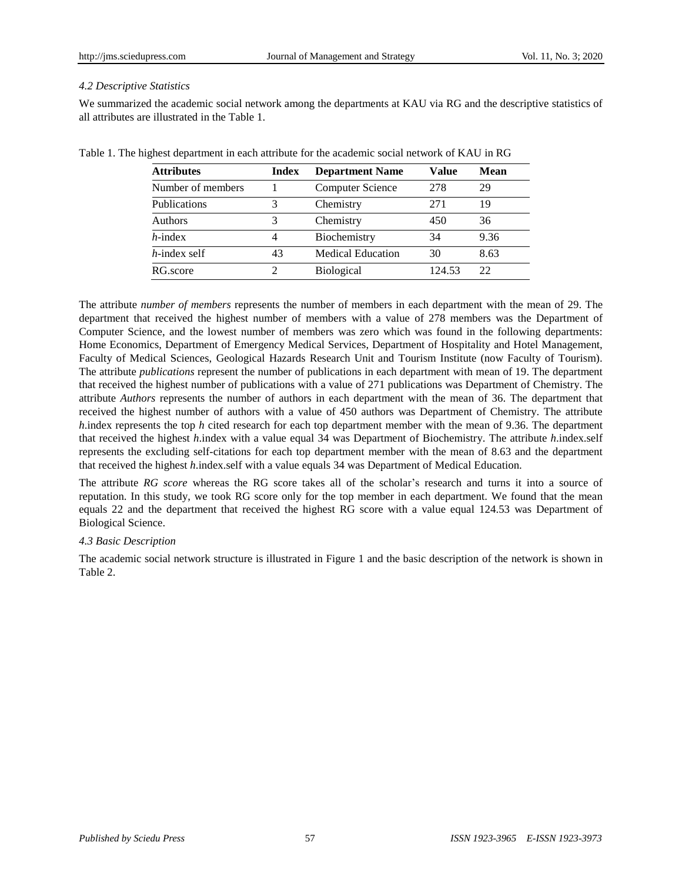## *4.2 Descriptive Statistics*

We summarized the academic social network among the departments at KAU via RG and the descriptive statistics of all attributes are illustrated in the Table 1.

| <b>Attributes</b> | <b>Index</b> | <b>Department Name</b>   | Value  | <b>Mean</b> |
|-------------------|--------------|--------------------------|--------|-------------|
| Number of members |              | Computer Science         | 278    | 29          |
| Publications      | 3            | Chemistry                | 271    | 19          |
| Authors           | 3            | Chemistry                | 450    | 36          |
| $h$ -index        | 4            | Biochemistry             | 34     | 9.36        |
| $h$ -index self   | 43           | <b>Medical Education</b> | 30     | 8.63        |
| RG.score          |              | <b>Biological</b>        | 124.53 | 22          |

Table 1. The highest department in each attribute for the academic social network of KAU in RG

The attribute *number of members* represents the number of members in each department with the mean of 29. The department that received the highest number of members with a value of 278 members was the Department of Computer Science, and the lowest number of members was zero which was found in the following departments: Home Economics, Department of Emergency Medical Services, Department of Hospitality and Hotel Management, Faculty of Medical Sciences, Geological Hazards Research Unit and Tourism Institute (now Faculty of Tourism). The attribute *publications* represent the number of publications in each department with mean of 19. The department that received the highest number of publications with a value of 271 publications was Department of Chemistry. The attribute *Authors* represents the number of authors in each department with the mean of 36. The department that received the highest number of authors with a value of 450 authors was Department of Chemistry. The attribute *h*.index represents the top *h* cited research for each top department member with the mean of 9.36. The department that received the highest *h*.index with a value equal 34 was Department of Biochemistry. The attribute *h*.index.self represents the excluding self-citations for each top department member with the mean of 8.63 and the department that received the highest *h*.index.self with a value equals 34 was Department of Medical Education.

The attribute *RG score* whereas the RG score takes all of the scholar's research and turns it into a source of reputation. In this study, we took RG score only for the top member in each department. We found that the mean equals 22 and the department that received the highest RG score with a value equal 124.53 was Department of Biological Science.

## *4.3 Basic Description*

The academic social network structure is illustrated in Figure 1 and the basic description of the network is shown in Table 2.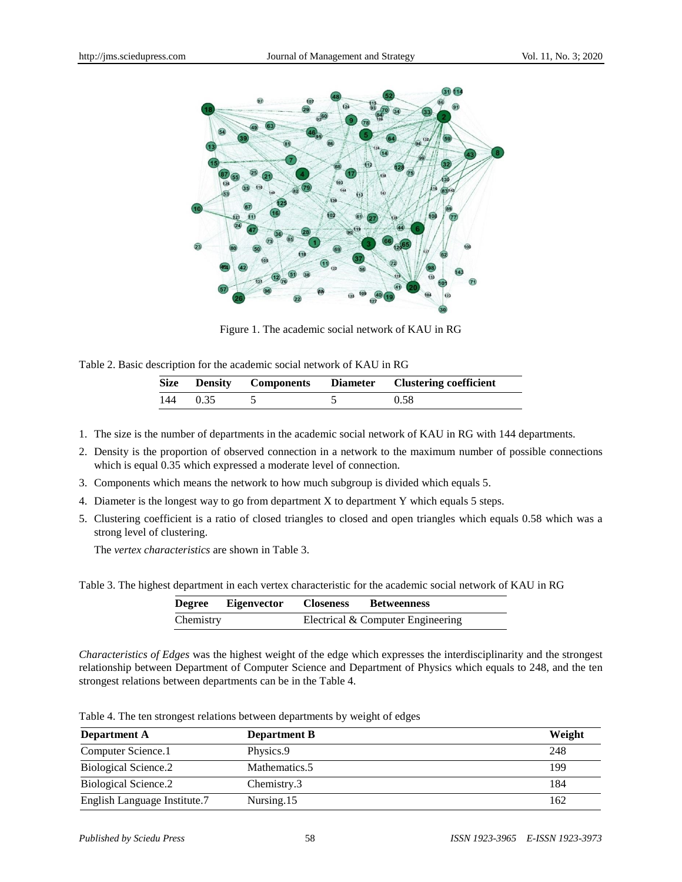

Figure 1. The academic social network of KAU in RG

Table 2. Basic description for the academic social network of KAU in RG

| <b>Size</b> | <b>Density</b> | <b>Components</b> | Diameter | <b>Clustering coefficient</b> |
|-------------|----------------|-------------------|----------|-------------------------------|
| 144         | 0.35           |                   |          | 0.58                          |

- 1. The size is the number of departments in the academic social network of KAU in RG with 144 departments.
- 2. Density is the proportion of observed connection in a network to the maximum number of possible connections which is equal 0.35 which expressed a moderate level of connection.
- 3. Components which means the network to how much subgroup is divided which equals 5.
- 4. Diameter is the longest way to go from department X to department Y which equals 5 steps.
- 5. Clustering coefficient is a ratio of closed triangles to closed and open triangles which equals 0.58 which was a strong level of clustering.

The *vertex characteristics* are shown in Table 3.

Table 3. The highest department in each vertex characteristic for the academic social network of KAU in RG

| Degree    | Eigenvector | <b>Closeness</b> | <b>Betweenness</b>                |
|-----------|-------------|------------------|-----------------------------------|
| Chemistry |             |                  | Electrical & Computer Engineering |

*Characteristics of Edges* was the highest weight of the edge which expresses the interdisciplinarity and the strongest relationship between Department of Computer Science and Department of Physics which equals to 248, and the ten strongest relations between departments can be in the Table 4.

Table 4. The ten strongest relations between departments by weight of edges

| <b>Department A</b>          | <b>Department B</b> | Weight |
|------------------------------|---------------------|--------|
| Computer Science.1           | Physics.9           | 248    |
| <b>Biological Science.2</b>  | Mathematics.5       | 199    |
| Biological Science.2         | Chemistry.3         | 184    |
| English Language Institute.7 | Nursing.15          | 162    |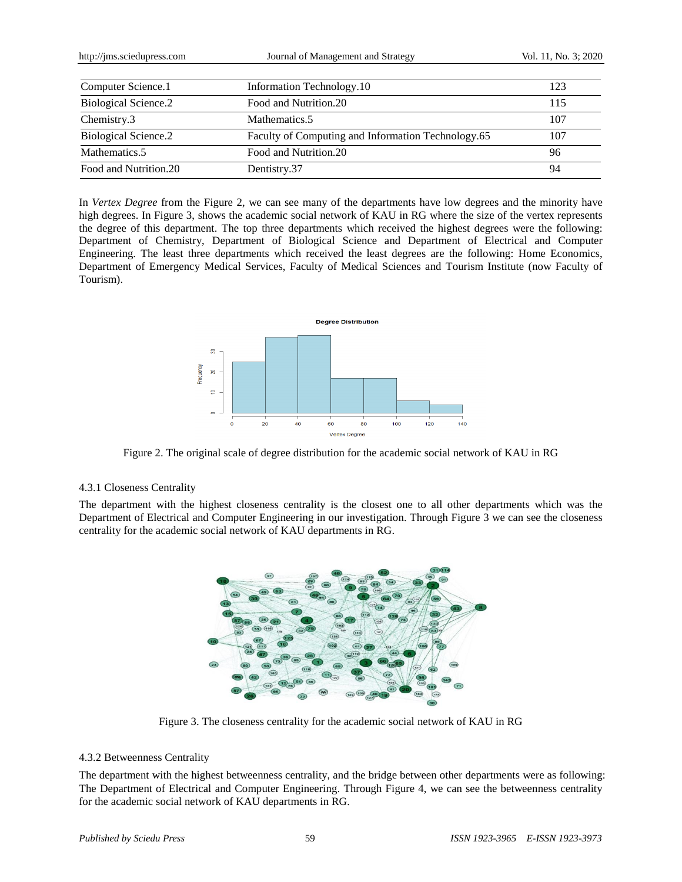| http://jms.sciedupress.com  | Journal of Management and Strategy                 |     |
|-----------------------------|----------------------------------------------------|-----|
|                             |                                                    |     |
| Computer Science.1          | Information Technology.10                          | 123 |
| <b>Biological Science.2</b> | Food and Nutrition.20                              | 115 |
| Chemistry.3                 | Mathematics.5                                      | 107 |
| <b>Biological Science.2</b> | Faculty of Computing and Information Technology.65 | 107 |
| Mathematics.5               | Food and Nutrition.20                              | 96  |
| Food and Nutrition.20       | Dentistry.37                                       | 94  |

In *Vertex Degree* from the Figure 2, we can see many of the departments have low degrees and the minority have high degrees. In Figure 3, shows the academic social network of KAU in RG where the size of the vertex represents the degree of this department. The top three departments which received the highest degrees were the following: Department of Chemistry, Department of Biological Science and Department of Electrical and Computer Engineering. The least three departments which received the least degrees are the following: Home Economics, Department of Emergency Medical Services, Faculty of Medical Sciences and Tourism Institute (now Faculty of Tourism).



Figure 2. The original scale of degree distribution for the academic social network of KAU in RG

## 4.3.1 Closeness Centrality

The department with the highest closeness centrality is the closest one to all other departments which was the Department of Electrical and Computer Engineering in our investigation. Through Figure 3 we can see the closeness centrality for the academic social network of KAU departments in RG.



Figure 3. The closeness centrality for the academic social network of KAU in RG

## 4.3.2 Betweenness Centrality

The department with the highest betweenness centrality, and the bridge between other departments were as following: The Department of Electrical and Computer Engineering. Through Figure 4, we can see the betweenness centrality for the academic social network of KAU departments in RG.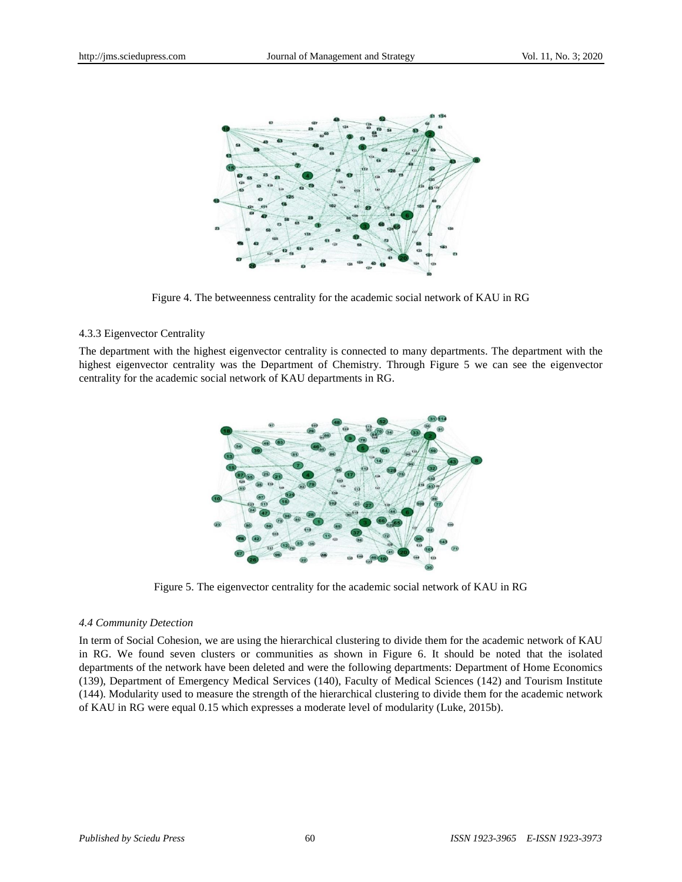

Figure 4. The betweenness centrality for the academic social network of KAU in RG

#### 4.3.3 Eigenvector Centrality

The department with the highest eigenvector centrality is connected to many departments. The department with the highest eigenvector centrality was the Department of Chemistry. Through Figure 5 we can see the eigenvector centrality for the academic social network of KAU departments in RG.



Figure 5. The eigenvector centrality for the academic social network of KAU in RG

#### *4.4 Community Detection*

In term of Social Cohesion, we are using the hierarchical clustering to divide them for the academic network of KAU in RG. We found seven clusters or communities as shown in Figure 6. It should be noted that the isolated departments of the network have been deleted and were the following departments: Department of Home Economics (139), Department of Emergency Medical Services (140), Faculty of Medical Sciences (142) and Tourism Institute (144). Modularity used to measure the strength of the hierarchical clustering to divide them for the academic network of KAU in RG were equal 0.15 which expresses a moderate level of modularity (Luke, 2015b).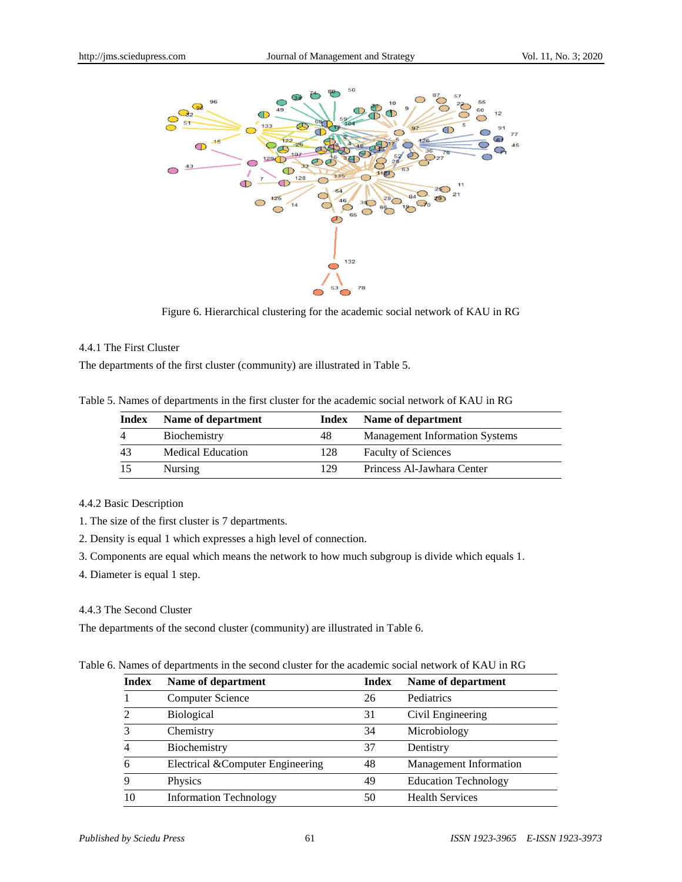

Figure 6. Hierarchical clustering for the academic social network of KAU in RG

## 4.4.1 The First Cluster

The departments of the first cluster (community) are illustrated in Table 5.

Table 5. Names of departments in the first cluster for the academic social network of KAU in RG

| Index    | Name of department       | Index | Name of department                    |
|----------|--------------------------|-------|---------------------------------------|
| $\Delta$ | Biochemistry             | 48    | <b>Management Information Systems</b> |
| 43       | <b>Medical Education</b> | 128   | <b>Faculty of Sciences</b>            |
| 15       | <b>Nursing</b>           | 129   | Princess Al-Jawhara Center            |

#### 4.4.2 Basic Description

1. The size of the first cluster is 7 departments.

- 2. Density is equal 1 which expresses a high level of connection.
- 3. Components are equal which means the network to how much subgroup is divide which equals 1.
- 4. Diameter is equal 1 step.

#### 4.4.3 The Second Cluster

The departments of the second cluster (community) are illustrated in Table 6.

#### Table 6. Names of departments in the second cluster for the academic social network of KAU in RG

| <b>Index</b> | Name of department               | <b>Index</b> | Name of department          |
|--------------|----------------------------------|--------------|-----------------------------|
|              | <b>Computer Science</b>          | 26           | Pediatrics                  |
|              | <b>Biological</b>                | 31           | Civil Engineering           |
|              | Chemistry                        | 34           | Microbiology                |
|              | Biochemistry                     | 37           | Dentistry                   |
| 6            | Electrical &Computer Engineering | 48           | Management Information      |
|              | Physics                          | 49           | <b>Education Technology</b> |
| 10           | <b>Information Technology</b>    | 50           | <b>Health Services</b>      |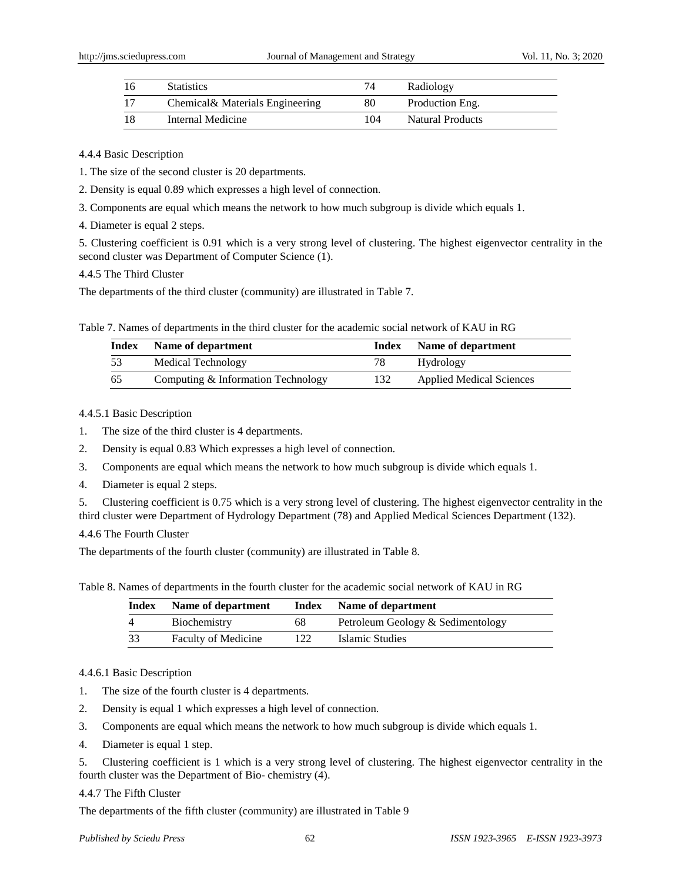| -16 | <b>Statistics</b>                | 74  | Radiology        |
|-----|----------------------------------|-----|------------------|
| -17 | Chemical & Materials Engineering | 80  | Production Eng.  |
| -18 | Internal Medicine                | 104 | Natural Products |

#### 4.4.4 Basic Description

1. The size of the second cluster is 20 departments.

2. Density is equal 0.89 which expresses a high level of connection.

3. Components are equal which means the network to how much subgroup is divide which equals 1.

4. Diameter is equal 2 steps.

5. Clustering coefficient is 0.91 which is a very strong level of clustering. The highest eigenvector centrality in the second cluster was Department of Computer Science (1).

4.4.5 The Third Cluster

The departments of the third cluster (community) are illustrated in Table 7.

Table 7. Names of departments in the third cluster for the academic social network of KAU in RG

| Index | Name of department                 | Index | Name of department              |
|-------|------------------------------------|-------|---------------------------------|
| 53    | Medical Technology                 | 78    | Hydrology                       |
| -65   | Computing & Information Technology | 132   | <b>Applied Medical Sciences</b> |

4.4.5.1 Basic Description

1. The size of the third cluster is 4 departments.

2. Density is equal 0.83 Which expresses a high level of connection.

3. Components are equal which means the network to how much subgroup is divide which equals 1.

4. Diameter is equal 2 steps.

5. Clustering coefficient is 0.75 which is a very strong level of clustering. The highest eigenvector centrality in the third cluster were Department of Hydrology Department (78) and Applied Medical Sciences Department (132).

4.4.6 The Fourth Cluster

The departments of the fourth cluster (community) are illustrated in Table 8.

Table 8. Names of departments in the fourth cluster for the academic social network of KAU in RG

| Index | Name of department         | Index | Name of department                |
|-------|----------------------------|-------|-----------------------------------|
| 4     | Biochemistry               | 68    | Petroleum Geology & Sedimentology |
| 33    | <b>Faculty of Medicine</b> | 122   | Islamic Studies                   |

4.4.6.1 Basic Description

- 1. The size of the fourth cluster is 4 departments.
- 2. Density is equal 1 which expresses a high level of connection.
- 3. Components are equal which means the network to how much subgroup is divide which equals 1.
- 4. Diameter is equal 1 step.

5. Clustering coefficient is 1 which is a very strong level of clustering. The highest eigenvector centrality in the fourth cluster was the Department of Bio- chemistry (4).

#### 4.4.7 The Fifth Cluster

The departments of the fifth cluster (community) are illustrated in Table 9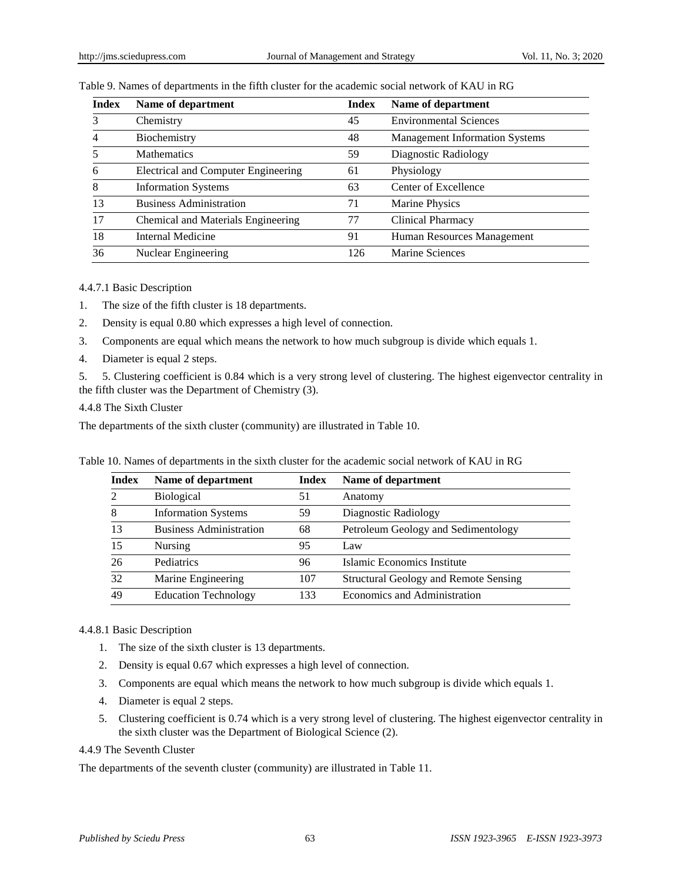| <b>Index</b>   | Name of department                         | <b>Index</b> | Name of department                    |
|----------------|--------------------------------------------|--------------|---------------------------------------|
| 3              | Chemistry                                  | 45           | <b>Environmental Sciences</b>         |
| $\overline{4}$ | Biochemistry                               | 48           | <b>Management Information Systems</b> |
| .5             | <b>Mathematics</b>                         | 59           | Diagnostic Radiology                  |
| 6              | <b>Electrical and Computer Engineering</b> | 61           | Physiology                            |
| 8              | <b>Information Systems</b>                 | 63           | Center of Excellence                  |
| 13             | <b>Business Administration</b>             | 71           | Marine Physics                        |
| 17             | Chemical and Materials Engineering         | 77           | <b>Clinical Pharmacy</b>              |
| 18             | Internal Medicine                          | 91           | Human Resources Management            |
| 36             | Nuclear Engineering                        | 126          | Marine Sciences                       |

#### Table 9. Names of departments in the fifth cluster for the academic social network of KAU in RG

4.4.7.1 Basic Description

- 1. The size of the fifth cluster is 18 departments.
- 2. Density is equal 0.80 which expresses a high level of connection.
- 3. Components are equal which means the network to how much subgroup is divide which equals 1.
- 4. Diameter is equal 2 steps.

5. 5. Clustering coefficient is 0.84 which is a very strong level of clustering. The highest eigenvector centrality in the fifth cluster was the Department of Chemistry (3).

4.4.8 The Sixth Cluster

The departments of the sixth cluster (community) are illustrated in Table 10.

Table 10. Names of departments in the sixth cluster for the academic social network of KAU in RG

| <b>Index</b> | Name of department             | Index | Name of department                    |
|--------------|--------------------------------|-------|---------------------------------------|
| 2            | <b>Biological</b>              | 51    | Anatomy                               |
| 8            | <b>Information Systems</b>     | 59    | Diagnostic Radiology                  |
| 13           | <b>Business Administration</b> | 68    | Petroleum Geology and Sedimentology   |
| 15           | Nursing                        | 95    | Law                                   |
| 26           | Pediatrics                     | 96    | Islamic Economics Institute           |
| 32           | Marine Engineering             | 107   | Structural Geology and Remote Sensing |
| 49           | <b>Education Technology</b>    | 133   | Economics and Administration          |

#### 4.4.8.1 Basic Description

- 1. The size of the sixth cluster is 13 departments.
- 2. Density is equal 0.67 which expresses a high level of connection.
- 3. Components are equal which means the network to how much subgroup is divide which equals 1.
- 4. Diameter is equal 2 steps.
- 5. Clustering coefficient is 0.74 which is a very strong level of clustering. The highest eigenvector centrality in the sixth cluster was the Department of Biological Science (2).

4.4.9 The Seventh Cluster

The departments of the seventh cluster (community) are illustrated in Table 11.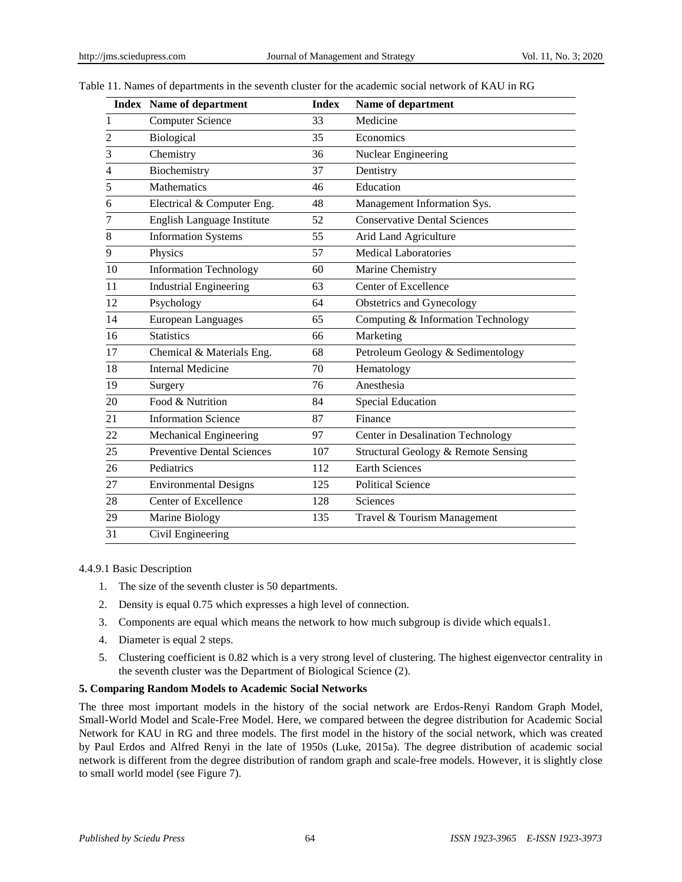|    | <b>Index</b> Name of department   | <b>Index</b> | Name of department                  |
|----|-----------------------------------|--------------|-------------------------------------|
| 1  | <b>Computer Science</b>           | 33           | Medicine                            |
| 2  | Biological                        | 35           | Economics                           |
| 3  | Chemistry                         | 36           | Nuclear Engineering                 |
| 4  | Biochemistry                      | 37           | Dentistry                           |
| 5  | Mathematics                       | 46           | Education                           |
| 6  | Electrical & Computer Eng.        | 48           | Management Information Sys.         |
| 7  | English Language Institute        | 52           | <b>Conservative Dental Sciences</b> |
| 8  | <b>Information Systems</b>        | 55           | Arid Land Agriculture               |
| 9  | Physics                           | 57           | <b>Medical Laboratories</b>         |
| 10 | <b>Information Technology</b>     | 60           | Marine Chemistry                    |
| 11 | <b>Industrial Engineering</b>     | 63           | Center of Excellence                |
| 12 | Psychology                        | 64           | Obstetrics and Gynecology           |
| 14 | <b>European Languages</b>         | 65           | Computing & Information Technology  |
| 16 | <b>Statistics</b>                 | 66           | Marketing                           |
| 17 | Chemical & Materials Eng.         | 68           | Petroleum Geology & Sedimentology   |
| 18 | <b>Internal Medicine</b>          | 70           | Hematology                          |
| 19 | Surgery                           | 76           | Anesthesia                          |
| 20 | Food & Nutrition                  | 84           | <b>Special Education</b>            |
| 21 | <b>Information Science</b>        | 87           | Finance                             |
| 22 | Mechanical Engineering            | 97           | Center in Desalination Technology   |
| 25 | <b>Preventive Dental Sciences</b> | 107          | Structural Geology & Remote Sensing |
| 26 | Pediatrics                        | 112          | <b>Earth Sciences</b>               |
| 27 | <b>Environmental Designs</b>      | 125          | <b>Political Science</b>            |
| 28 | Center of Excellence              | 128          | Sciences                            |
| 29 | Marine Biology                    | 135          | Travel & Tourism Management         |
| 31 | Civil Engineering                 |              |                                     |

### Table 11. Names of departments in the seventh cluster for the academic social network of KAU in RG

#### 4.4.9.1 Basic Description

- 1. The size of the seventh cluster is 50 departments.
- 2. Density is equal 0.75 which expresses a high level of connection.
- 3. Components are equal which means the network to how much subgroup is divide which equals1.
- 4. Diameter is equal 2 steps.
- 5. Clustering coefficient is 0.82 which is a very strong level of clustering. The highest eigenvector centrality in the seventh cluster was the Department of Biological Science (2).

#### **5. Comparing Random Models to Academic Social Networks**

The three most important models in the history of the social network are Erdos-Renyi Random Graph Model, Small-World Model and Scale-Free Model. Here, we compared between the degree distribution for Academic Social Network for KAU in RG and three models. The first model in the history of the social network, which was created by Paul Erdos and Alfred Renyi in the late of 1950s (Luke, 2015a). The degree distribution of academic social network is different from the degree distribution of random graph and scale-free models. However, it is slightly close to small world model (see Figure 7).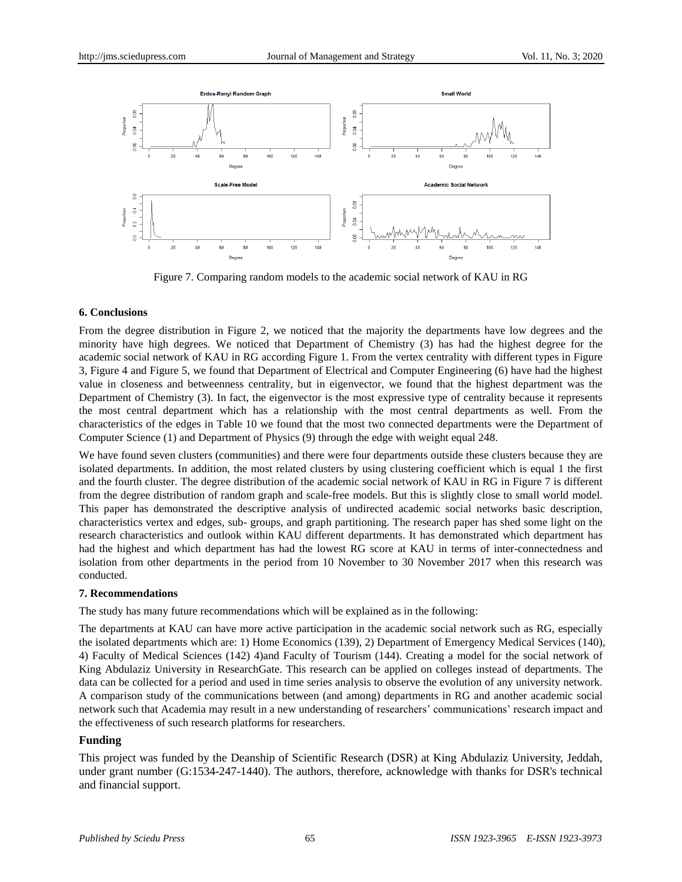

Figure 7. Comparing random models to the academic social network of KAU in RG

## **6. Conclusions**

From the degree distribution in Figure 2, we noticed that the majority the departments have low degrees and the minority have high degrees. We noticed that Department of Chemistry (3) has had the highest degree for the academic social network of KAU in RG according Figure 1. From the vertex centrality with different types in Figure 3, Figure 4 and Figure 5, we found that Department of Electrical and Computer Engineering (6) have had the highest value in closeness and betweenness centrality, but in eigenvector, we found that the highest department was the Department of Chemistry (3). In fact, the eigenvector is the most expressive type of centrality because it represents the most central department which has a relationship with the most central departments as well. From the characteristics of the edges in Table 10 we found that the most two connected departments were the Department of Computer Science (1) and Department of Physics (9) through the edge with weight equal 248.

We have found seven clusters (communities) and there were four departments outside these clusters because they are isolated departments. In addition, the most related clusters by using clustering coefficient which is equal 1 the first and the fourth cluster. The degree distribution of the academic social network of KAU in RG in Figure 7 is different from the degree distribution of random graph and scale-free models. But this is slightly close to small world model. This paper has demonstrated the descriptive analysis of undirected academic social networks basic description, characteristics vertex and edges, sub- groups, and graph partitioning. The research paper has shed some light on the research characteristics and outlook within KAU different departments. It has demonstrated which department has had the highest and which department has had the lowest RG score at KAU in terms of inter-connectedness and isolation from other departments in the period from 10 November to 30 November 2017 when this research was conducted.

## **7. Recommendations**

The study has many future recommendations which will be explained as in the following:

The departments at KAU can have more active participation in the academic social network such as RG, especially the isolated departments which are: 1) Home Economics (139), 2) Department of Emergency Medical Services (140), 4) Faculty of Medical Sciences (142) 4)and Faculty of Tourism (144). Creating a model for the social network of King Abdulaziz University in ResearchGate. This research can be applied on colleges instead of departments. The data can be collected for a period and used in time series analysis to observe the evolution of any university network. A comparison study of the communications between (and among) departments in RG and another academic social network such that Academia may result in a new understanding of researchers' communications' research impact and the effectiveness of such research platforms for researchers.

## **Funding**

This project was funded by the Deanship of Scientific Research (DSR) at King Abdulaziz University, Jeddah, under grant number (G:1534-247-1440). The authors, therefore, acknowledge with thanks for DSR's technical and financial support.